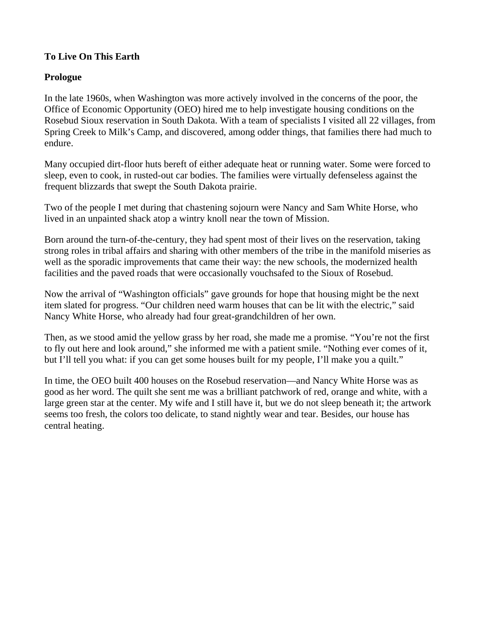# **To Live On This Earth**

### **Prologue**

In the late 1960s, when Washington was more actively involved in the concerns of the poor, the Office of Economic Opportunity (OEO) hired me to help investigate housing conditions on the Rosebud Sioux reservation in South Dakota. With a team of specialists I visited all 22 villages, from Spring Creek to Milk's Camp, and discovered, among odder things, that families there had much to endure.

Many occupied dirt-floor huts bereft of either adequate heat or running water. Some were forced to sleep, even to cook, in rusted-out car bodies. The families were virtually defenseless against the frequent blizzards that swept the South Dakota prairie.

Two of the people I met during that chastening sojourn were Nancy and Sam White Horse, who lived in an unpainted shack atop a wintry knoll near the town of Mission.

Born around the turn-of-the-century, they had spent most of their lives on the reservation, taking strong roles in tribal affairs and sharing with other members of the tribe in the manifold miseries as well as the sporadic improvements that came their way: the new schools, the modernized health facilities and the paved roads that were occasionally vouchsafed to the Sioux of Rosebud.

Now the arrival of "Washington officials" gave grounds for hope that housing might be the next item slated for progress. "Our children need warm houses that can be lit with the electric," said Nancy White Horse, who already had four great-grandchildren of her own.

Then, as we stood amid the yellow grass by her road, she made me a promise. "You're not the first to fly out here and look around," she informed me with a patient smile. "Nothing ever comes of it, but I'll tell you what: if you can get some houses built for my people, I'll make you a quilt."

In time, the OEO built 400 houses on the Rosebud reservation—and Nancy White Horse was as good as her word. The quilt she sent me was a brilliant patchwork of red, orange and white, with a large green star at the center. My wife and I still have it, but we do not sleep beneath it; the artwork seems too fresh, the colors too delicate, to stand nightly wear and tear. Besides, our house has central heating.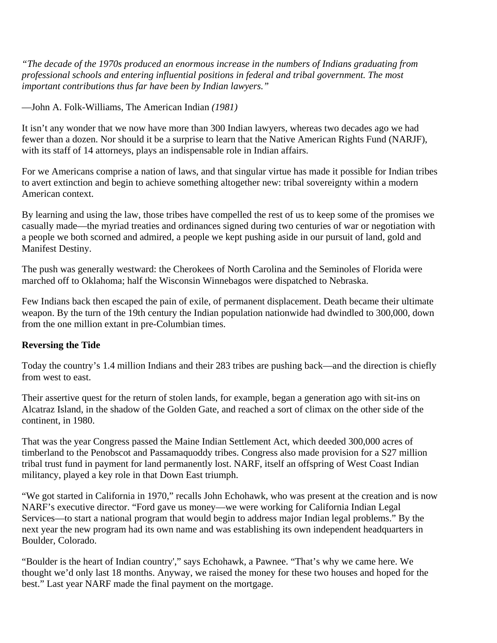*"The decade of the 1970s produced an enormous increase in the numbers of Indians graduating from professional schools and entering influential positions in federal and tribal government. The most important contributions thus far have been by Indian lawyers."*

—John A. Folk-Williams, The American Indian *(1981)*

It isn't any wonder that we now have more than 300 Indian lawyers, whereas two decades ago we had fewer than a dozen. Nor should it be a surprise to learn that the Native American Rights Fund (NARJF), with its staff of 14 attorneys, plays an indispensable role in Indian affairs.

For we Americans comprise a nation of laws, and that singular virtue has made it possible for Indian tribes to avert extinction and begin to achieve something altogether new: tribal sovereignty within a modern American context.

By learning and using the law, those tribes have compelled the rest of us to keep some of the promises we casually made—the myriad treaties and ordinances signed during two centuries of war or negotiation with a people we both scorned and admired, a people we kept pushing aside in our pursuit of land, gold and Manifest Destiny.

The push was generally westward: the Cherokees of North Carolina and the Seminoles of Florida were marched off to Oklahoma; half the Wisconsin Winnebagos were dispatched to Nebraska.

Few Indians back then escaped the pain of exile, of permanent displacement. Death became their ultimate weapon. By the turn of the 19th century the Indian population nationwide had dwindled to 300,000, down from the one million extant in pre-Columbian times.

### **Reversing the Tide**

Today the country's 1.4 million Indians and their 283 tribes are pushing back—and the direction is chiefly from west to east.

Their assertive quest for the return of stolen lands, for example, began a generation ago with sit-ins on Alcatraz Island, in the shadow of the Golden Gate, and reached a sort of climax on the other side of the continent, in 1980.

That was the year Congress passed the Maine Indian Settlement Act, which deeded 300,000 acres of timberland to the Penobscot and Passamaquoddy tribes. Congress also made provision for a S27 million tribal trust fund in payment for land permanently lost. NARF, itself an offspring of West Coast Indian militancy, played a key role in that Down East triumph.

"We got started in California in 1970," recalls John Echohawk, who was present at the creation and is now NARF's executive director. "Ford gave us money—we were working for California Indian Legal Services—to start a national program that would begin to address major Indian legal problems." By the next year the new program had its own name and was establishing its own independent headquarters in Boulder, Colorado.

"Boulder is the heart of Indian country'," says Echohawk, a Pawnee. "That's why we came here. We thought we'd only last 18 months. Anyway, we raised the money for these two houses and hoped for the best." Last year NARF made the final payment on the mortgage.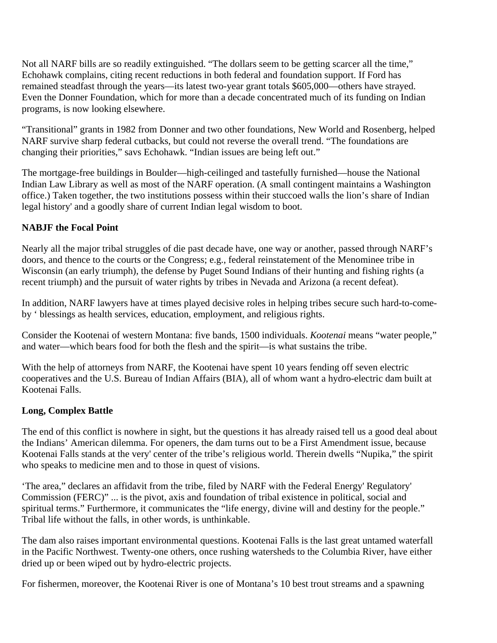Not all NARF bills are so readily extinguished. "The dollars seem to be getting scarcer all the time," Echohawk complains, citing recent reductions in both federal and foundation support. If Ford has remained steadfast through the years—its latest two-year grant totals \$605,000—others have strayed. Even the Donner Foundation, which for more than a decade concentrated much of its funding on Indian programs, is now looking elsewhere.

"Transitional" grants in 1982 from Donner and two other foundations, New World and Rosenberg, helped NARF survive sharp federal cutbacks, but could not reverse the overall trend. "The foundations are changing their priorities," savs Echohawk. "Indian issues are being left out."

The mortgage-free buildings in Boulder—high-ceilinged and tastefully furnished—house the National Indian Law Library as well as most of the NARF operation. (A small contingent maintains a Washington office.) Taken together, the two institutions possess within their stuccoed walls the lion's share of Indian legal history' and a goodly share of current Indian legal wisdom to boot.

# **NABJF the Focal Point**

Nearly all the major tribal struggles of die past decade have, one way or another, passed through NARF's doors, and thence to the courts or the Congress; e.g., federal reinstatement of the Menominee tribe in Wisconsin (an early triumph), the defense by Puget Sound Indians of their hunting and fishing rights (a recent triumph) and the pursuit of water rights by tribes in Nevada and Arizona (a recent defeat).

In addition, NARF lawyers have at times played decisive roles in helping tribes secure such hard-to-comeby ' blessings as health services, education, employment, and religious rights.

Consider the Kootenai of western Montana: five bands, 1500 individuals. *Kootenai* means "water people," and water—which bears food for both the flesh and the spirit—is what sustains the tribe.

With the help of attorneys from NARF, the Kootenai have spent 10 years fending off seven electric cooperatives and the U.S. Bureau of Indian Affairs (BIA), all of whom want a hydro-electric dam built at Kootenai Falls.

# **Long, Complex Battle**

The end of this conflict is nowhere in sight, but the questions it has already raised tell us a good deal about the Indians' American dilemma. For openers, the dam turns out to be a First Amendment issue, because Kootenai Falls stands at the very' center of the tribe's religious world. Therein dwells "Nupika," the spirit who speaks to medicine men and to those in quest of visions.

'The area," declares an affidavit from the tribe, filed by NARF with the Federal Energy' Regulatory' Commission (FERC)" ... is the pivot, axis and foundation of tribal existence in political, social and spiritual terms." Furthermore, it communicates the "life energy, divine will and destiny for the people." Tribal life without the falls, in other words, is unthinkable.

The dam also raises important environmental questions. Kootenai Falls is the last great untamed waterfall in the Pacific Northwest. Twenty-one others, once rushing watersheds to the Columbia River, have either dried up or been wiped out by hydro-electric projects.

For fishermen, moreover, the Kootenai River is one of Montana's 10 best trout streams and a spawning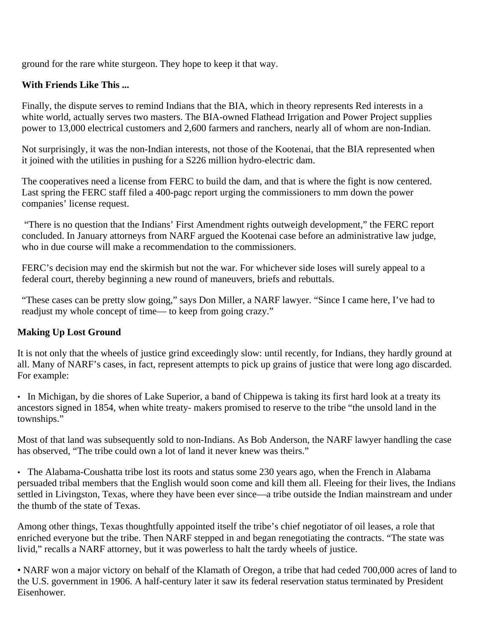ground for the rare white sturgeon. They hope to keep it that way.

# **With Friends Like This ...**

Finally, the dispute serves to remind Indians that the BIA, which in theory represents Red interests in a white world, actually serves two masters. The BIA-owned Flathead Irrigation and Power Project supplies power to 13,000 electrical customers and 2,600 farmers and ranchers, nearly all of whom are non-Indian.

Not surprisingly, it was the non-Indian interests, not those of the Kootenai, that the BIA represented when it joined with the utilities in pushing for a S226 million hydro-electric dam.

The cooperatives need a license from FERC to build the dam, and that is where the fight is now centered. Last spring the FERC staff filed a 400-pagc report urging the commissioners to mm down the power companies' license request.

"There is no question that the Indians' First Amendment rights outweigh development," the FERC report concluded. In January attorneys from NARF argued the Kootenai case before an administrative law judge, who in due course will make a recommendation to the commissioners.

FERC's decision may end the skirmish but not the war. For whichever side loses will surely appeal to a federal court, thereby beginning a new round of maneuvers, briefs and rebuttals.

"These cases can be pretty slow going," says Don Miller, a NARF lawyer. "Since I came here, I've had to readjust my whole concept of time— to keep from going crazy."

# **Making Up Lost Ground**

It is not only that the wheels of justice grind exceedingly slow: until recently, for Indians, they hardly ground at all. Many of NARF's cases, in fact, represent attempts to pick up grains of justice that were long ago discarded. For example:

• In Michigan, by die shores of Lake Superior, a band of Chippewa is taking its first hard look at a treaty its ancestors signed in 1854, when white treaty- makers promised to reserve to the tribe "the unsold land in the townships."

Most of that land was subsequently sold to non-Indians. As Bob Anderson, the NARF lawyer handling the case has observed, "The tribe could own a lot of land it never knew was theirs."

• The Alabama-Coushatta tribe lost its roots and status some 230 years ago, when the French in Alabama persuaded tribal members that the English would soon come and kill them all. Fleeing for their lives, the Indians settled in Livingston, Texas, where they have been ever since—a tribe outside the Indian mainstream and under the thumb of the state of Texas.

Among other things, Texas thoughtfully appointed itself the tribe's chief negotiator of oil leases, a role that enriched everyone but the tribe. Then NARF stepped in and began renegotiating the contracts. "The state was livid," recalls a NARF attorney, but it was powerless to halt the tardy wheels of justice.

• NARF won a major victory on behalf of the Klamath of Oregon, a tribe that had ceded 700,000 acres of land to the U.S. government in 1906. A half-century later it saw its federal reservation status terminated by President Eisenhower.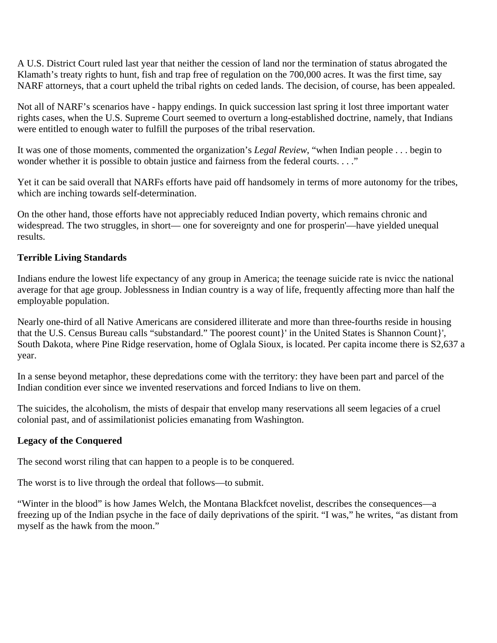A U.S. District Court ruled last year that neither the cession of land nor the termination of status abrogated the Klamath's treaty rights to hunt, fish and trap free of regulation on the 700,000 acres. It was the first time, say NARF attorneys, that a court upheld the tribal rights on ceded lands. The decision, of course, has been appealed.

Not all of NARF's scenarios have - happy endings. In quick succession last spring it lost three important water rights cases, when the U.S. Supreme Court seemed to overturn a long-established doctrine, namely, that Indians were entitled to enough water to fulfill the purposes of the tribal reservation.

It was one of those moments, commented the organization's *Legal Review*, "when Indian people . . . begin to wonder whether it is possible to obtain justice and fairness from the federal courts. . . ."

Yet it can be said overall that NARFs efforts have paid off handsomely in terms of more autonomy for the tribes, which are inching towards self-determination.

On the other hand, those efforts have not appreciably reduced Indian poverty, which remains chronic and widespread. The two struggles, in short— one for sovereignty and one for prosperin'—have yielded unequal results.

### **Terrible Living Standards**

Indians endure the lowest life expectancy of any group in America; the teenage suicide rate is nvicc the national average for that age group. Joblessness in Indian country is a way of life, frequently affecting more than half the employable population.

Nearly one-third of all Native Americans are considered illiterate and more than three-fourths reside in housing that the U.S. Census Bureau calls "substandard." The poorest count}' in the United States is Shannon Count}', South Dakota, where Pine Ridge reservation, home of Oglala Sioux, is located. Per capita income there is S2,637 a year.

In a sense beyond metaphor, these depredations come with the territory: they have been part and parcel of the Indian condition ever since we invented reservations and forced Indians to live on them.

The suicides, the alcoholism, the mists of despair that envelop many reservations all seem legacies of a cruel colonial past, and of assimilationist policies emanating from Washington.

### **Legacy of the Conquered**

The second worst riling that can happen to a people is to be conquered.

The worst is to live through the ordeal that follows—to submit.

"Winter in the blood" is how James Welch, the Montana Blackfcet novelist, describes the consequences—a freezing up of the Indian psyche in the face of daily deprivations of the spirit. "I was," he writes, "as distant from myself as the hawk from the moon."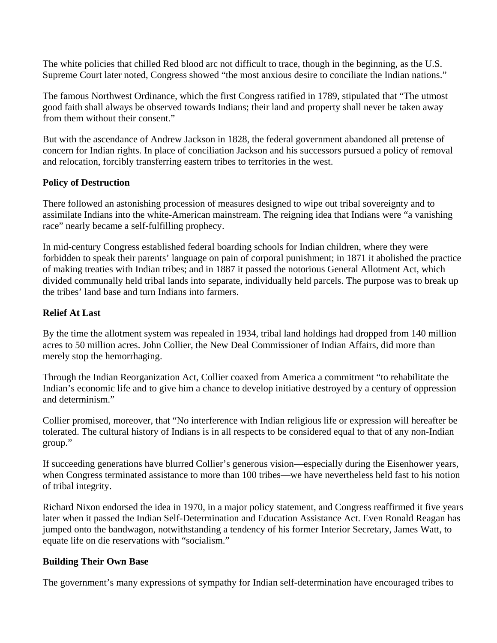The white policies that chilled Red blood arc not difficult to trace, though in the beginning, as the U.S. Supreme Court later noted, Congress showed "the most anxious desire to conciliate the Indian nations."

The famous Northwest Ordinance, which the first Congress ratified in 1789, stipulated that "The utmost good faith shall always be observed towards Indians; their land and property shall never be taken away from them without their consent."

But with the ascendance of Andrew Jackson in 1828, the federal government abandoned all pretense of concern for Indian rights. In place of conciliation Jackson and his successors pursued a policy of removal and relocation, forcibly transferring eastern tribes to territories in the west.

### **Policy of Destruction**

There followed an astonishing procession of measures designed to wipe out tribal sovereignty and to assimilate Indians into the white-American mainstream. The reigning idea that Indians were "a vanishing race" nearly became a self-fulfilling prophecy.

In mid-century Congress established federal boarding schools for Indian children, where they were forbidden to speak their parents' language on pain of corporal punishment; in 1871 it abolished the practice of making treaties with Indian tribes; and in 1887 it passed the notorious General Allotment Act, which divided communally held tribal lands into separate, individually held parcels. The purpose was to break up the tribes' land base and turn Indians into farmers.

### **Relief At Last**

By the time the allotment system was repealed in 1934, tribal land holdings had dropped from 140 million acres to 50 million acres. John Collier, the New Deal Commissioner of Indian Affairs, did more than merely stop the hemorrhaging.

Through the Indian Reorganization Act, Collier coaxed from America a commitment "to rehabilitate the Indian's economic life and to give him a chance to develop initiative destroyed by a century of oppression and determinism."

Collier promised, moreover, that "No interference with Indian religious life or expression will hereafter be tolerated. The cultural history of Indians is in all respects to be considered equal to that of any non-Indian group."

If succeeding generations have blurred Collier's generous vision—especially during the Eisenhower years, when Congress terminated assistance to more than 100 tribes—we have nevertheless held fast to his notion of tribal integrity.

Richard Nixon endorsed the idea in 1970, in a major policy statement, and Congress reaffirmed it five years later when it passed the Indian Self-Determination and Education Assistance Act. Even Ronald Reagan has jumped onto the bandwagon, notwithstanding a tendency of his former Interior Secretary, James Watt, to equate life on die reservations with "socialism."

### **Building Their Own Base**

The government's many expressions of sympathy for Indian self-determination have encouraged tribes to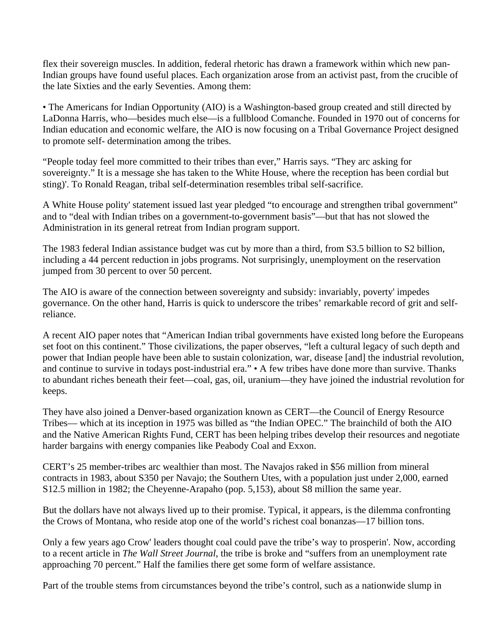flex their sovereign muscles. In addition, federal rhetoric has drawn a framework within which new pan-Indian groups have found useful places. Each organization arose from an activist past, from the crucible of the late Sixties and the early Seventies. Among them:

• The Americans for Indian Opportunity (AIO) is a Washington-based group created and still directed by LaDonna Harris, who—besides much else—is a fullblood Comanche. Founded in 1970 out of concerns for Indian education and economic welfare, the AIO is now focusing on a Tribal Governance Project designed to promote self- determination among the tribes.

"People today feel more committed to their tribes than ever," Harris says. "They arc asking for sovereignty." It is a message she has taken to the White House, where the reception has been cordial but sting)'. To Ronald Reagan, tribal self-determination resembles tribal self-sacrifice.

A White House polity' statement issued last year pledged "to encourage and strengthen tribal government" and to "deal with Indian tribes on a government-to-government basis"—but that has not slowed the Administration in its general retreat from Indian program support.

The 1983 federal Indian assistance budget was cut by more than a third, from S3.5 billion to S2 billion, including a 44 percent reduction in jobs programs. Not surprisingly, unemployment on the reservation jumped from 30 percent to over 50 percent.

The AIO is aware of the connection between sovereignty and subsidy: invariably, poverty' impedes governance. On the other hand, Harris is quick to underscore the tribes' remarkable record of grit and selfreliance.

A recent AIO paper notes that "American Indian tribal governments have existed long before the Europeans set foot on this continent." Those civilizations, the paper observes, "left a cultural legacy of such depth and power that Indian people have been able to sustain colonization, war, disease [and] the industrial revolution, and continue to survive in todays post-industrial era." • A few tribes have done more than survive. Thanks to abundant riches beneath their feet—coal, gas, oil, uranium—they have joined the industrial revolution for keeps.

They have also joined a Denver-based organization known as CERT—the Council of Energy Resource Tribes— which at its inception in 1975 was billed as "the Indian OPEC." The brainchild of both the AIO and the Native American Rights Fund, CERT has been helping tribes develop their resources and negotiate harder bargains with energy companies like Peabody Coal and Exxon.

CERT's 25 member-tribes arc wealthier than most. The Navajos raked in \$56 million from mineral contracts in 1983, about S350 per Navajo; the Southern Utes, with a population just under 2,000, earned S12.5 million in 1982; the Cheyenne-Arapaho (pop. 5,153), about S8 million the same year.

But the dollars have not always lived up to their promise. Typical, it appears, is the dilemma confronting the Crows of Montana, who reside atop one of the world's richest coal bonanzas—17 billion tons.

Only a few years ago Crow' leaders thought coal could pave the tribe's way to prosperin'. Now, according to a recent article in *The Wall Street Journal*, the tribe is broke and "suffers from an unemployment rate approaching 70 percent." Half the families there get some form of welfare assistance.

Part of the trouble stems from circumstances beyond the tribe's control, such as a nationwide slump in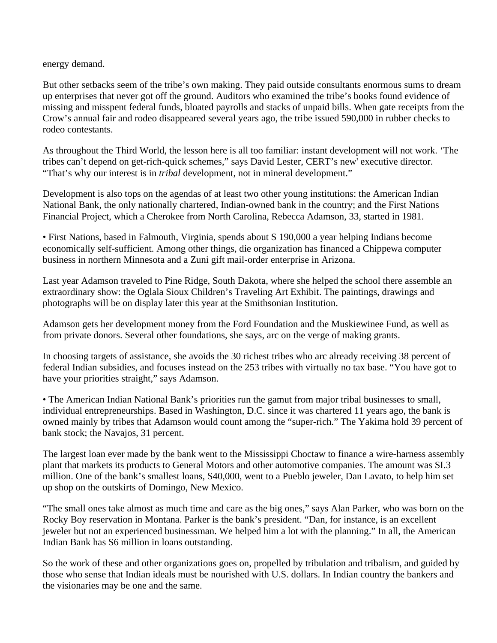energy demand.

But other setbacks seem of the tribe's own making. They paid outside consultants enormous sums to dream up enterprises that never got off the ground. Auditors who examined the tribe's books found evidence of missing and misspent federal funds, bloated payrolls and stacks of unpaid bills. When gate receipts from the Crow's annual fair and rodeo disappeared several years ago, the tribe issued 590,000 in rubber checks to rodeo contestants.

As throughout the Third World, the lesson here is all too familiar: instant development will not work. 'The tribes can't depend on get-rich-quick schemes," says David Lester, CERT's new' executive director. "That's why our interest is in *tribal* development, not in mineral development."

Development is also tops on the agendas of at least two other young institutions: the American Indian National Bank, the only nationally chartered, Indian-owned bank in the country; and the First Nations Financial Project, which a Cherokee from North Carolina, Rebecca Adamson, 33, started in 1981.

• First Nations, based in Falmouth, Virginia, spends about S 190,000 a year helping Indians become economically self-sufficient. Among other things, die organization has financed a Chippewa computer business in northern Minnesota and a Zuni gift mail-order enterprise in Arizona.

Last year Adamson traveled to Pine Ridge, South Dakota, where she helped the school there assemble an extraordinary show: the Oglala Sioux Children's Traveling Art Exhibit. The paintings, drawings and photographs will be on display later this year at the Smithsonian Institution.

Adamson gets her development money from the Ford Foundation and the Muskiewinee Fund, as well as from private donors. Several other foundations, she says, arc on the verge of making grants.

In choosing targets of assistance, she avoids the 30 richest tribes who arc already receiving 38 percent of federal Indian subsidies, and focuses instead on the 253 tribes with virtually no tax base. "You have got to have your priorities straight," says Adamson.

• The American Indian National Bank's priorities run the gamut from major tribal businesses to small, individual entrepreneurships. Based in Washington, D.C. since it was chartered 11 years ago, the bank is owned mainly by tribes that Adamson would count among the "super-rich." The Yakima hold 39 percent of bank stock; the Navajos, 31 percent.

The largest loan ever made by the bank went to the Mississippi Choctaw to finance a wire-harness assembly plant that markets its products to General Motors and other automotive companies. The amount was SI.3 million. One of the bank's smallest loans, S40,000, went to a Pueblo jeweler, Dan Lavato, to help him set up shop on the outskirts of Domingo, New Mexico.

"The small ones take almost as much time and care as the big ones," says Alan Parker, who was born on the Rocky Boy reservation in Montana. Parker is the bank's president. "Dan, for instance, is an excellent jeweler but not an experienced businessman. We helped him a lot with the planning." In all, the American Indian Bank has S6 million in loans outstanding.

So the work of these and other organizations goes on, propelled by tribulation and tribalism, and guided by those who sense that Indian ideals must be nourished with U.S. dollars. In Indian country the bankers and the visionaries may be one and the same.